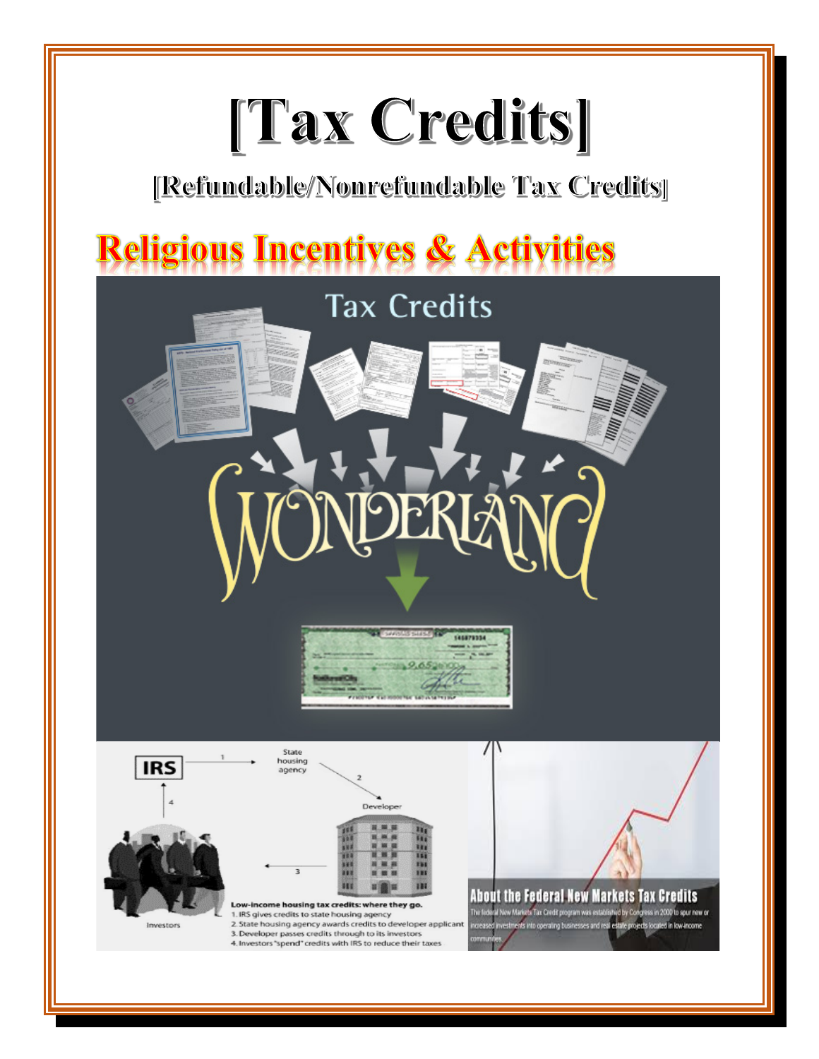## [Tax Credits]

### [Refundable/Nonrefundable Tax Credits]

## **Religious Incentives & Activities**

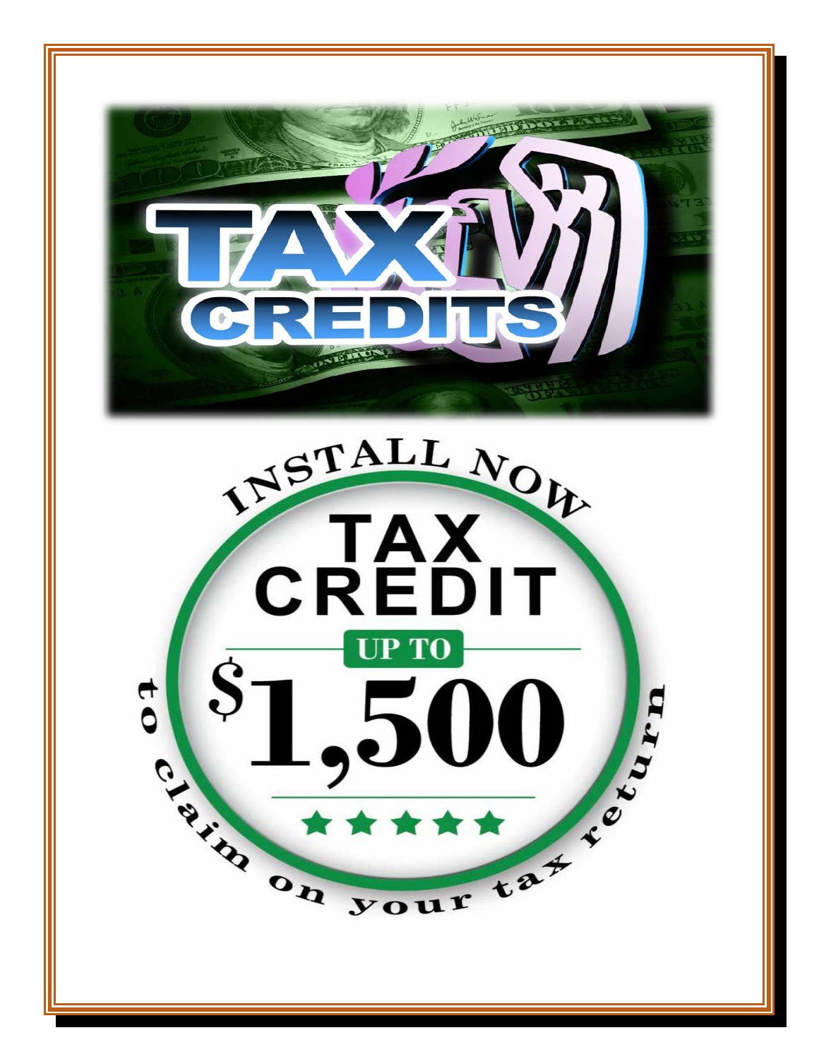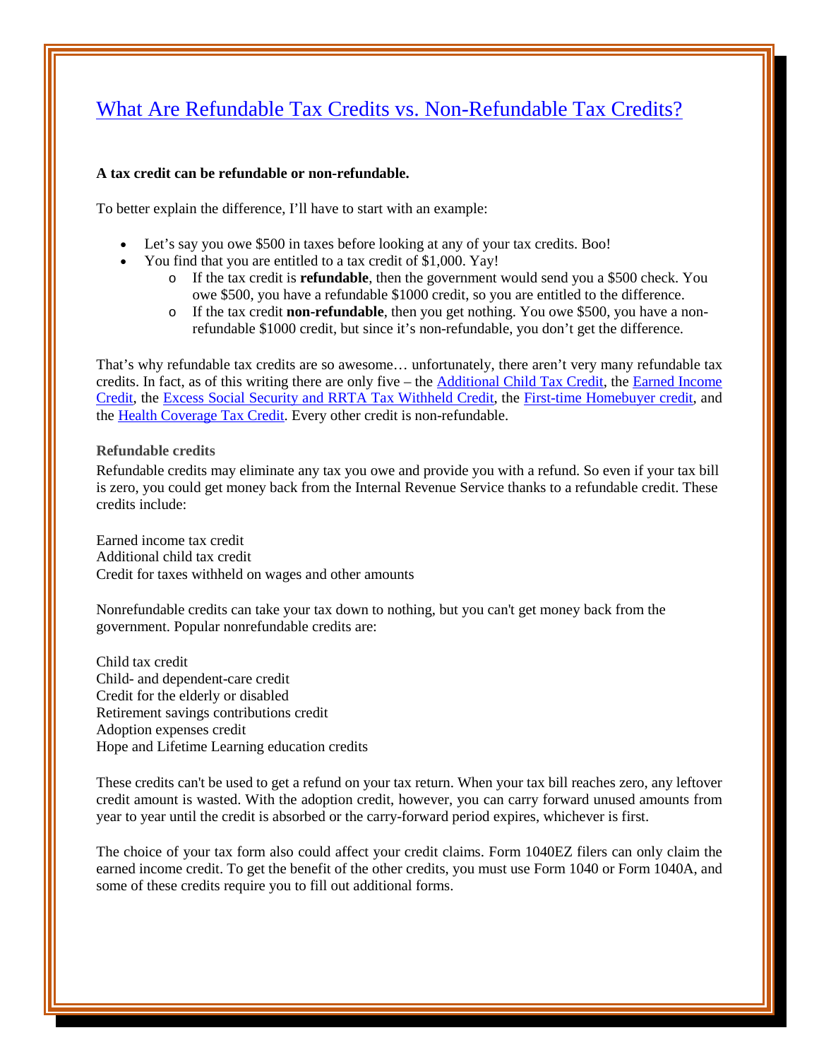### [What Are Refundable Tax Credits vs. Non-Refundable Tax Credits?](http://www.bargaineering.com/articles/refundable-tax-credits-vs-non-refundable-tax-credits.html)

### **A tax credit can be refundable or non-refundable.**

To better explain the difference, I'll have to start with an example:

- Let's say you owe \$500 in taxes before looking at any of your tax credits. Boo!
- You find that you are entitled to a tax credit of \$1,000. Yay!
	- o If the tax credit is **refundable**, then the government would send you a \$500 check. You owe \$500, you have a refundable \$1000 credit, so you are entitled to the difference.
	- o If the tax credit **non-refundable**, then you get nothing. You owe \$500, you have a nonrefundable \$1000 credit, but since it's non-refundable, you don't get the difference.

That's why refundable tax credits are so awesome… unfortunately, there aren't very many refundable tax credits. In fact, as of this writing there are only five – the [Additional Child Tax Credit,](http://www.irs.gov/publications/p972/ar02.html#en_US_publink100012090) the Earned Income [Credit,](http://www.irs.gov/taxtopics/tc601.html) the [Excess Social Security and RRTA Tax Withheld Credit,](http://www.irs.gov/taxtopics/tc608.html) the [First-time Homebuyer credit,](http://www.irs.gov/taxtopics/tc611.html) and the [Health Coverage Tax Credit.](http://www.irs.gov/individuals/article/0,,id=109915,00.html) Every other credit is non-refundable.

### **Refundable credits**

Refundable credits may eliminate any tax you owe and provide you with a refund. So even if your tax bill is zero, you could get money back from the Internal Revenue Service thanks to a refundable credit. These credits include:

Earned income tax credit Additional child tax credit Credit for taxes withheld on wages and other amounts

Nonrefundable credits can take your tax down to nothing, but you can't get money back from the government. Popular nonrefundable credits are:

Child tax credit Child- and dependent-care credit Credit for the elderly or disabled Retirement savings contributions credit Adoption expenses credit Hope and Lifetime Learning education credits

These credits can't be used to get a refund on your tax return. When your tax bill reaches zero, any leftover credit amount is wasted. With the adoption credit, however, you can carry forward unused amounts from year to year until the credit is absorbed or the carry-forward period expires, whichever is first.

The choice of your tax form also could affect your credit claims. Form 1040EZ filers can only claim the earned income credit. To get the benefit of the other credits, you must use Form 1040 or Form 1040A, and some of these credits require you to fill out additional forms.